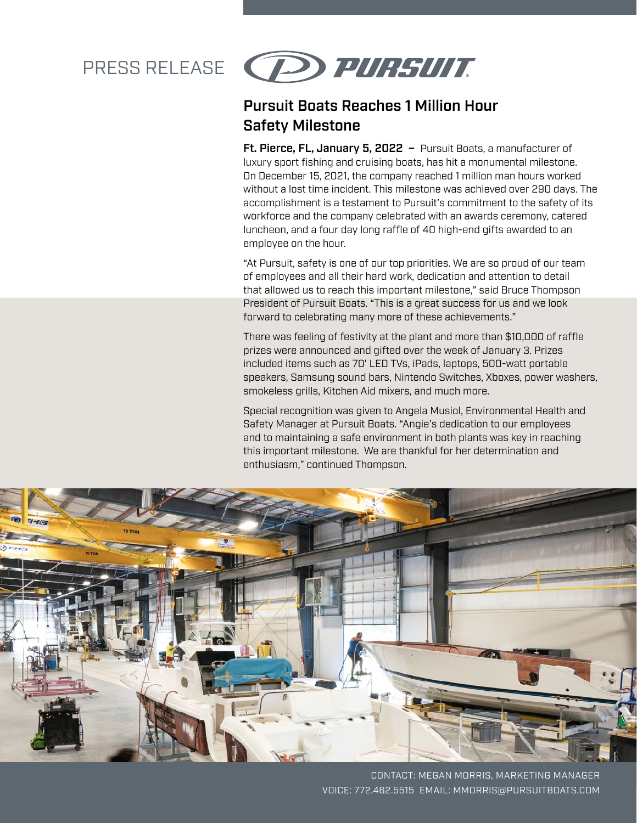# PRESS RELEASE



### Pursuit Boats Reaches 1 Million Hour Safety Milestone

Ft. Pierce, FL, January 5, 2022 - Pursuit Boats, a manufacturer of luxury sport fishing and cruising boats, has hit a monumental milestone. On December 15, 2021, the company reached 1 million man hours worked without a lost time incident. This milestone was achieved over 290 days. The accomplishment is a testament to Pursuit's commitment to the safety of its workforce and the company celebrated with an awards ceremony, catered luncheon, and a four day long raffle of 40 high-end gifts awarded to an employee on the hour.

"At Pursuit, safety is one of our top priorities. We are so proud of our team of employees and all their hard work, dedication and attention to detail that allowed us to reach this important milestone," said Bruce Thompson President of Pursuit Boats. "This is a great success for us and we look forward to celebrating many more of these achievements."

There was feeling of festivity at the plant and more than \$10,000 of raffle prizes were announced and gifted over the week of January 3. Prizes included items such as 70' LED TVs, iPads, laptops, 500-watt portable speakers, Samsung sound bars, Nintendo Switches, Xboxes, power washers, smokeless grills, Kitchen Aid mixers, and much more.

Special recognition was given to Angela Musiol, Environmental Health and Safety Manager at Pursuit Boats. "Angie's dedication to our employees and to maintaining a safe environment in both plants was key in reaching this important milestone. We are thankful for her determination and enthusiasm," continued Thompson.